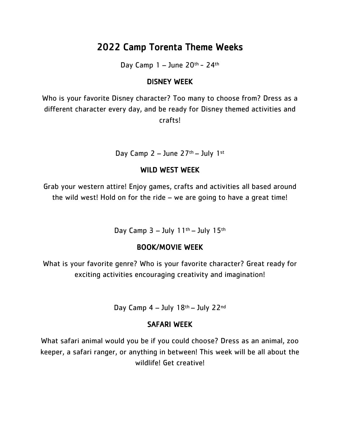# 2022 Camp Torenta Theme Weeks

Day Camp  $1 -$  June  $20<sup>th</sup> - 24<sup>th</sup>$ 

## DISNEY WEEK

Who is your favorite Disney character? Too many to choose from? Dress as a different character every day, and be ready for Disney themed activities and crafts!

Day Camp  $2 -$  June  $27$ <sup>th</sup> – July 1st

## WILD WEST WEEK

Grab your western attire! Enjoy games, crafts and activities all based around the wild west! Hold on for the ride – we are going to have a great time!

Day Camp  $3 -$  July  $11<sup>th</sup> -$  July  $15<sup>th</sup>$ 

# BOOK/MOVIE WEEK

What is your favorite genre? Who is your favorite character? Great ready for exciting activities encouraging creativity and imagination!

Day Camp  $4 -$  July  $18<sup>th</sup> -$  July  $22<sup>nd</sup>$ 

# SAFARI WEEK

What safari animal would you be if you could choose? Dress as an animal, zoo keeper, a safari ranger, or anything in between! This week will be all about the wildlife! Get creative!